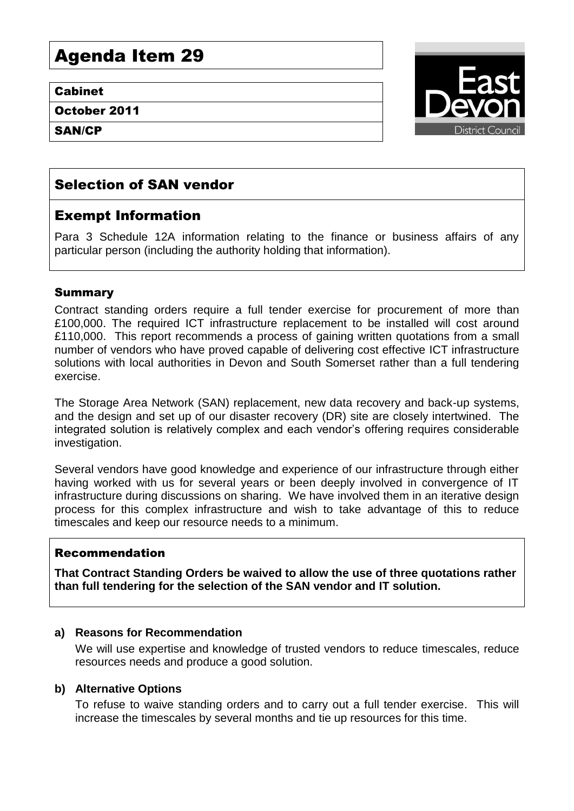# Agenda Item 29

#### Cabinet

October 2011

SAN/CP



## Selection of SAN vendor

## Exempt Information

Para 3 Schedule 12A information relating to the finance or business affairs of any particular person (including the authority holding that information).

#### Summary

Contract standing orders require a full tender exercise for procurement of more than £100,000. The required ICT infrastructure replacement to be installed will cost around £110,000. This report recommends a process of gaining written quotations from a small number of vendors who have proved capable of delivering cost effective ICT infrastructure solutions with local authorities in Devon and South Somerset rather than a full tendering exercise.

The Storage Area Network (SAN) replacement, new data recovery and back-up systems, and the design and set up of our disaster recovery (DR) site are closely intertwined. The integrated solution is relatively complex and each vendor's offering requires considerable investigation.

Several vendors have good knowledge and experience of our infrastructure through either having worked with us for several years or been deeply involved in convergence of IT infrastructure during discussions on sharing. We have involved them in an iterative design process for this complex infrastructure and wish to take advantage of this to reduce timescales and keep our resource needs to a minimum.

#### Recommendation

**That Contract Standing Orders be waived to allow the use of three quotations rather than full tendering for the selection of the SAN vendor and IT solution.**

#### **a) Reasons for Recommendation**

We will use expertise and knowledge of trusted vendors to reduce timescales, reduce resources needs and produce a good solution.

#### **b) Alternative Options**

To refuse to waive standing orders and to carry out a full tender exercise. This will increase the timescales by several months and tie up resources for this time.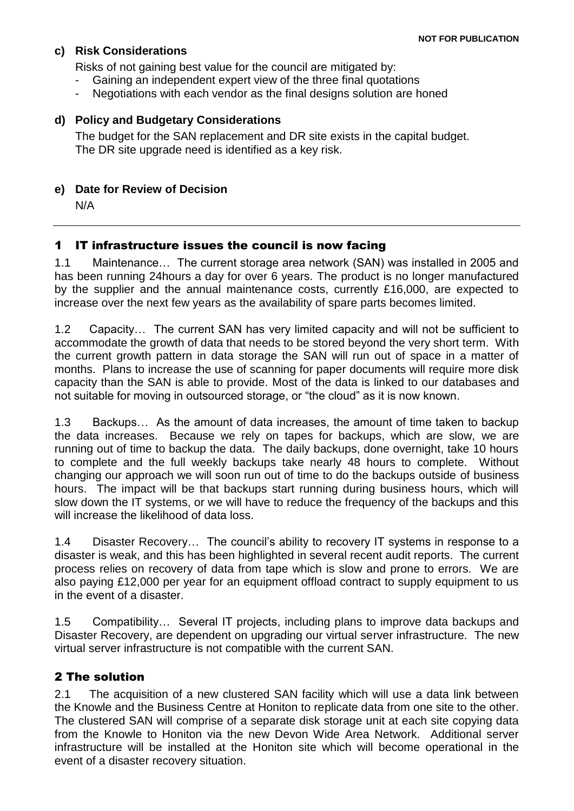#### **c) Risk Considerations**

Risks of not gaining best value for the council are mitigated by:

- Gaining an independent expert view of the three final quotations
- Negotiations with each vendor as the final designs solution are honed

#### **d) Policy and Budgetary Considerations**

The budget for the SAN replacement and DR site exists in the capital budget. The DR site upgrade need is identified as a key risk.

#### **e) Date for Review of Decision**

N/A

#### 1 IT infrastructure issues the council is now facing

1.1 Maintenance… The current storage area network (SAN) was installed in 2005 and has been running 24hours a day for over 6 years. The product is no longer manufactured by the supplier and the annual maintenance costs, currently £16,000, are expected to increase over the next few years as the availability of spare parts becomes limited.

1.2 Capacity… The current SAN has very limited capacity and will not be sufficient to accommodate the growth of data that needs to be stored beyond the very short term. With the current growth pattern in data storage the SAN will run out of space in a matter of months. Plans to increase the use of scanning for paper documents will require more disk capacity than the SAN is able to provide. Most of the data is linked to our databases and not suitable for moving in outsourced storage, or "the cloud" as it is now known.

1.3 Backups… As the amount of data increases, the amount of time taken to backup the data increases. Because we rely on tapes for backups, which are slow, we are running out of time to backup the data. The daily backups, done overnight, take 10 hours to complete and the full weekly backups take nearly 48 hours to complete. Without changing our approach we will soon run out of time to do the backups outside of business hours. The impact will be that backups start running during business hours, which will slow down the IT systems, or we will have to reduce the frequency of the backups and this will increase the likelihood of data loss.

1.4 Disaster Recovery… The council's ability to recovery IT systems in response to a disaster is weak, and this has been highlighted in several recent audit reports. The current process relies on recovery of data from tape which is slow and prone to errors. We are also paying £12,000 per year for an equipment offload contract to supply equipment to us in the event of a disaster.

1.5 Compatibility… Several IT projects, including plans to improve data backups and Disaster Recovery, are dependent on upgrading our virtual server infrastructure. The new virtual server infrastructure is not compatible with the current SAN.

#### 2 The solution

2.1 The acquisition of a new clustered SAN facility which will use a data link between the Knowle and the Business Centre at Honiton to replicate data from one site to the other. The clustered SAN will comprise of a separate disk storage unit at each site copying data from the Knowle to Honiton via the new Devon Wide Area Network. Additional server infrastructure will be installed at the Honiton site which will become operational in the event of a disaster recovery situation.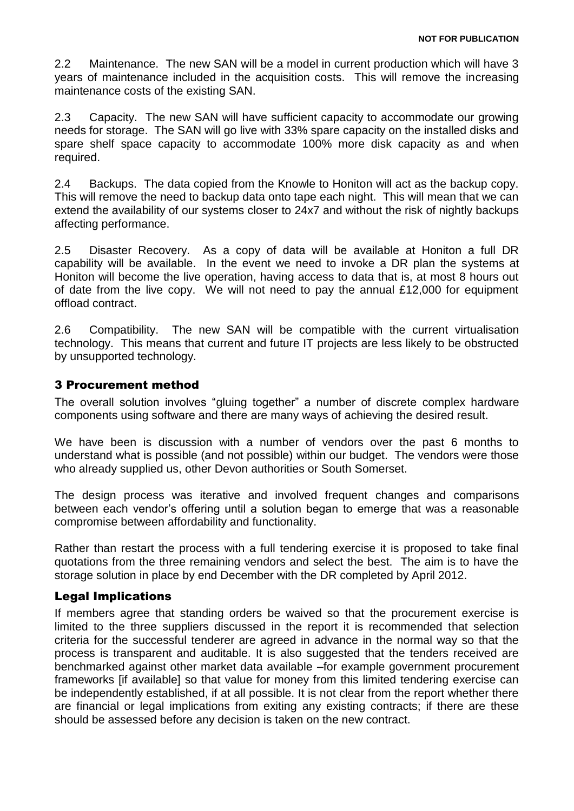2.2 Maintenance. The new SAN will be a model in current production which will have 3 years of maintenance included in the acquisition costs. This will remove the increasing maintenance costs of the existing SAN.

2.3 Capacity. The new SAN will have sufficient capacity to accommodate our growing needs for storage. The SAN will go live with 33% spare capacity on the installed disks and spare shelf space capacity to accommodate 100% more disk capacity as and when required.

2.4 Backups. The data copied from the Knowle to Honiton will act as the backup copy. This will remove the need to backup data onto tape each night. This will mean that we can extend the availability of our systems closer to 24x7 and without the risk of nightly backups affecting performance.

2.5 Disaster Recovery. As a copy of data will be available at Honiton a full DR capability will be available. In the event we need to invoke a DR plan the systems at Honiton will become the live operation, having access to data that is, at most 8 hours out of date from the live copy. We will not need to pay the annual £12,000 for equipment offload contract.

2.6 Compatibility. The new SAN will be compatible with the current virtualisation technology. This means that current and future IT projects are less likely to be obstructed by unsupported technology.

#### 3 Procurement method

The overall solution involves "gluing together" a number of discrete complex hardware components using software and there are many ways of achieving the desired result.

We have been is discussion with a number of vendors over the past 6 months to understand what is possible (and not possible) within our budget. The vendors were those who already supplied us, other Devon authorities or South Somerset.

The design process was iterative and involved frequent changes and comparisons between each vendor's offering until a solution began to emerge that was a reasonable compromise between affordability and functionality.

Rather than restart the process with a full tendering exercise it is proposed to take final quotations from the three remaining vendors and select the best. The aim is to have the storage solution in place by end December with the DR completed by April 2012.

#### Legal Implications

If members agree that standing orders be waived so that the procurement exercise is limited to the three suppliers discussed in the report it is recommended that selection criteria for the successful tenderer are agreed in advance in the normal way so that the process is transparent and auditable. It is also suggested that the tenders received are benchmarked against other market data available –for example government procurement frameworks [if available] so that value for money from this limited tendering exercise can be independently established, if at all possible. It is not clear from the report whether there are financial or legal implications from exiting any existing contracts; if there are these should be assessed before any decision is taken on the new contract.